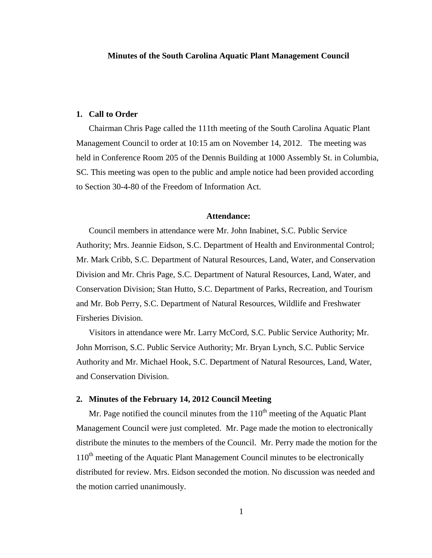## **1. Call to Order**

Chairman Chris Page called the 111th meeting of the South Carolina Aquatic Plant Management Council to order at 10:15 am on November 14, 2012. The meeting was held in Conference Room 205 of the Dennis Building at 1000 Assembly St. in Columbia, SC. This meeting was open to the public and ample notice had been provided according to Section 30-4-80 of the Freedom of Information Act.

#### **Attendance:**

Council members in attendance were Mr. John Inabinet, S.C. Public Service Authority; Mrs. Jeannie Eidson, S.C. Department of Health and Environmental Control; Mr. Mark Cribb, S.C. Department of Natural Resources, Land, Water, and Conservation Division and Mr. Chris Page, S.C. Department of Natural Resources, Land, Water, and Conservation Division; Stan Hutto, S.C. Department of Parks, Recreation, and Tourism and Mr. Bob Perry, S.C. Department of Natural Resources, Wildlife and Freshwater Firsheries Division.

Visitors in attendance were Mr. Larry McCord, S.C. Public Service Authority; Mr. John Morrison, S.C. Public Service Authority; Mr. Bryan Lynch, S.C. Public Service Authority and Mr. Michael Hook, S.C. Department of Natural Resources, Land, Water, and Conservation Division.

# **2. Minutes of the February 14, 2012 Council Meeting**

Mr. Page notified the council minutes from the  $110<sup>th</sup>$  meeting of the Aquatic Plant Management Council were just completed. Mr. Page made the motion to electronically distribute the minutes to the members of the Council. Mr. Perry made the motion for the 110<sup>th</sup> meeting of the Aquatic Plant Management Council minutes to be electronically distributed for review. Mrs. Eidson seconded the motion. No discussion was needed and the motion carried unanimously.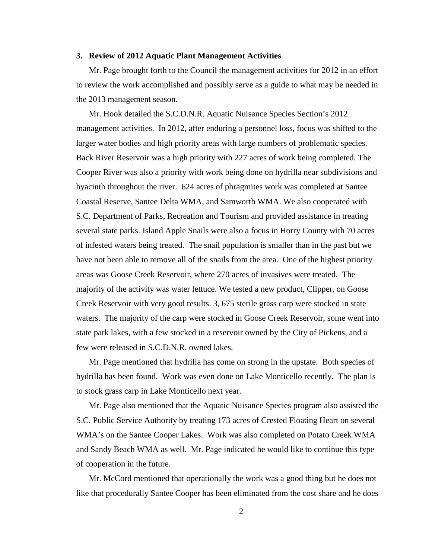## **3. Review of 2012 Aquatic Plant Management Activities**

Mr. Page brought forth to the Council the management activities for 2012 in an effort to review the work accomplished and possibly serve as a guide to what may be needed in the 2013 management season.

Mr. Hook detailed the S.C.D.N.R. Aquatic Nuisance Species Section's 2012 management activities. In 2012, after enduring a personnel loss, focus was shifted to the larger water bodies and high priority areas with large numbers of problematic species. Back River Reservoir was a high priority with 227 acres of work being completed. The Cooper River was also a priority with work being done on hydrilla near subdivisions and hyacinth throughout the river. 624 acres of phragmites work was completed at Santee Coastal Reserve, Santee Delta WMA, and Samworth WMA. We also cooperated with S.C. Department of Parks, Recreation and Tourism and provided assistance in treating several state parks. Island Apple Snails were also a focus in Horry County with 70 acres of infested waters being treated. The snail population is smaller than in the past but we have not been able to remove all of the snails from the area. One of the highest priority areas was Goose Creek Reservoir, where 270 acres of invasives were treated. The majority of the activity was water lettuce. We tested a new product, Clipper, on Goose Creek Reservoir with very good results. 3, 675 sterile grass carp were stocked in state waters. The majority of the carp were stocked in Goose Creek Reservoir, some went into state park lakes, with a few stocked in a reservoir owned by the City of Pickens, and a few were released in S.C.D.N.R. owned lakes.

Mr. Page mentioned that hydrilla has come on strong in the upstate. Both species of hydrilla has been found. Work was even done on Lake Monticello recently. The plan is to stock grass carp in Lake Monticello next year.

Mr. Page also mentioned that the Aquatic Nuisance Species program also assisted the S.C. Public Service Authority by treating 173 acres of Crested Floating Heart on several WMA's on the Santee Cooper Lakes. Work was also completed on Potato Creek WMA and Sandy Beach WMA as well. Mr. Page indicated he would like to continue this type of cooperation in the future.

Mr. McCord mentioned that operationally the work was a good thing but he does not like that procedurally Santee Cooper has been eliminated from the cost share and he does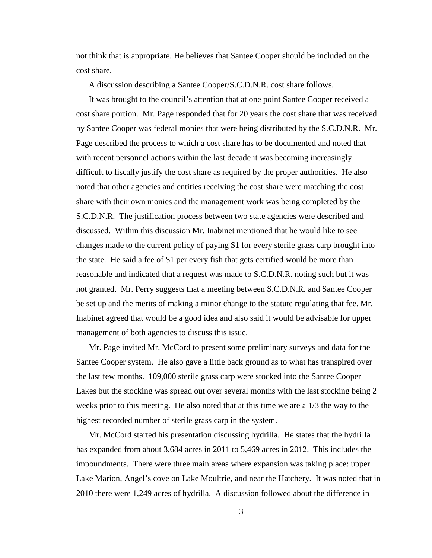not think that is appropriate. He believes that Santee Cooper should be included on the cost share.

A discussion describing a Santee Cooper/S.C.D.N.R. cost share follows.

It was brought to the council's attention that at one point Santee Cooper received a cost share portion. Mr. Page responded that for 20 years the cost share that was received by Santee Cooper was federal monies that were being distributed by the S.C.D.N.R. Mr. Page described the process to which a cost share has to be documented and noted that with recent personnel actions within the last decade it was becoming increasingly difficult to fiscally justify the cost share as required by the proper authorities. He also noted that other agencies and entities receiving the cost share were matching the cost share with their own monies and the management work was being completed by the S.C.D.N.R. The justification process between two state agencies were described and discussed. Within this discussion Mr. Inabinet mentioned that he would like to see changes made to the current policy of paying \$1 for every sterile grass carp brought into the state. He said a fee of \$1 per every fish that gets certified would be more than reasonable and indicated that a request was made to S.C.D.N.R. noting such but it was not granted. Mr. Perry suggests that a meeting between S.C.D.N.R. and Santee Cooper be set up and the merits of making a minor change to the statute regulating that fee. Mr. Inabinet agreed that would be a good idea and also said it would be advisable for upper management of both agencies to discuss this issue.

Mr. Page invited Mr. McCord to present some preliminary surveys and data for the Santee Cooper system. He also gave a little back ground as to what has transpired over the last few months. 109,000 sterile grass carp were stocked into the Santee Cooper Lakes but the stocking was spread out over several months with the last stocking being 2 weeks prior to this meeting. He also noted that at this time we are a 1/3 the way to the highest recorded number of sterile grass carp in the system.

Mr. McCord started his presentation discussing hydrilla. He states that the hydrilla has expanded from about 3,684 acres in 2011 to 5,469 acres in 2012. This includes the impoundments. There were three main areas where expansion was taking place: upper Lake Marion, Angel's cove on Lake Moultrie, and near the Hatchery. It was noted that in 2010 there were 1,249 acres of hydrilla. A discussion followed about the difference in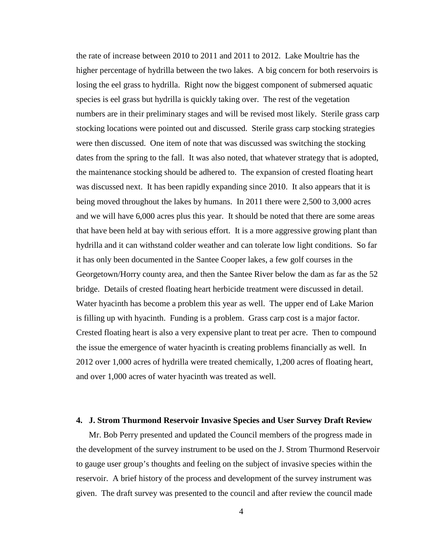the rate of increase between 2010 to 2011 and 2011 to 2012. Lake Moultrie has the higher percentage of hydrilla between the two lakes. A big concern for both reservoirs is losing the eel grass to hydrilla. Right now the biggest component of submersed aquatic species is eel grass but hydrilla is quickly taking over. The rest of the vegetation numbers are in their preliminary stages and will be revised most likely. Sterile grass carp stocking locations were pointed out and discussed. Sterile grass carp stocking strategies were then discussed. One item of note that was discussed was switching the stocking dates from the spring to the fall. It was also noted, that whatever strategy that is adopted, the maintenance stocking should be adhered to. The expansion of crested floating heart was discussed next. It has been rapidly expanding since 2010. It also appears that it is being moved throughout the lakes by humans. In 2011 there were 2,500 to 3,000 acres and we will have 6,000 acres plus this year. It should be noted that there are some areas that have been held at bay with serious effort. It is a more aggressive growing plant than hydrilla and it can withstand colder weather and can tolerate low light conditions. So far it has only been documented in the Santee Cooper lakes, a few golf courses in the Georgetown/Horry county area, and then the Santee River below the dam as far as the 52 bridge. Details of crested floating heart herbicide treatment were discussed in detail. Water hyacinth has become a problem this year as well. The upper end of Lake Marion is filling up with hyacinth. Funding is a problem. Grass carp cost is a major factor. Crested floating heart is also a very expensive plant to treat per acre. Then to compound the issue the emergence of water hyacinth is creating problems financially as well. In 2012 over 1,000 acres of hydrilla were treated chemically, 1,200 acres of floating heart, and over 1,000 acres of water hyacinth was treated as well.

### **4. J. Strom Thurmond Reservoir Invasive Species and User Survey Draft Review**

Mr. Bob Perry presented and updated the Council members of the progress made in the development of the survey instrument to be used on the J. Strom Thurmond Reservoir to gauge user group's thoughts and feeling on the subject of invasive species within the reservoir. A brief history of the process and development of the survey instrument was given. The draft survey was presented to the council and after review the council made